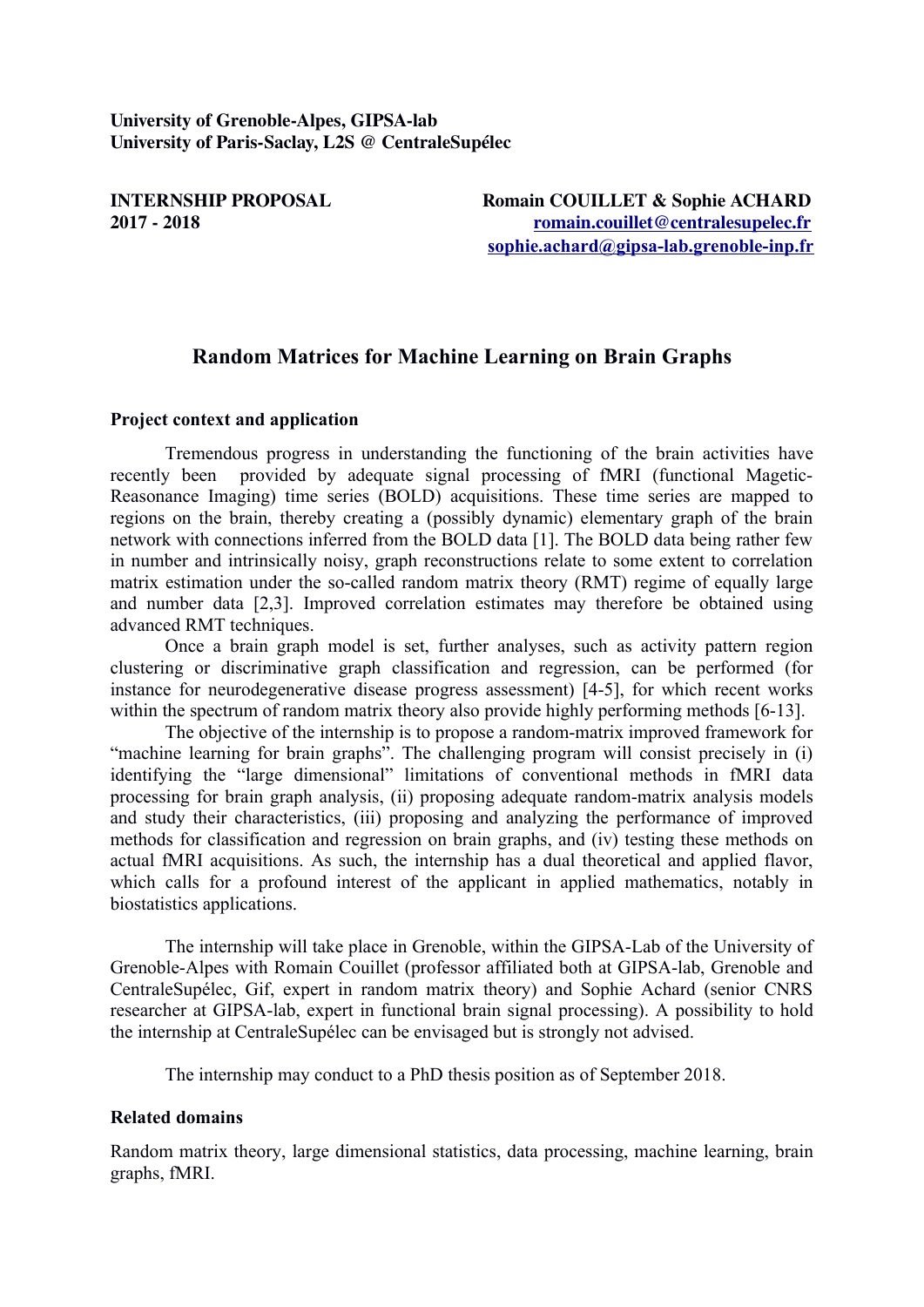**University of Grenoble-Alpes, GIPSA-lab University of Paris-Saclay, L2S @ CentraleSupélec**

**INTERNSHIP PROPOSAL Romain COUILLET & Sophie ACHARD 2017 - 2018 [romain.couillet@centralesupelec.fr](mailto:romain.couillet@centralesupelec.fr) [sophie.achard@gipsa-lab.grenoble-inp.fr](mailto:pierre.comon@gipsa-lab.grenoble-inp.fr)**

# **Random Matrices for Machine Learning on Brain Graphs**

### **Project context and application**

Tremendous progress in understanding the functioning of the brain activities have recently been provided by adequate signal processing of fMRI (functional Magetic-Reasonance Imaging) time series (BOLD) acquisitions. These time series are mapped to regions on the brain, thereby creating a (possibly dynamic) elementary graph of the brain network with connections inferred from the BOLD data [1]. The BOLD data being rather few in number and intrinsically noisy, graph reconstructions relate to some extent to correlation matrix estimation under the so-called random matrix theory (RMT) regime of equally large and number data [2,3]. Improved correlation estimates may therefore be obtained using advanced RMT techniques.

Once a brain graph model is set, further analyses, such as activity pattern region clustering or discriminative graph classification and regression, can be performed (for instance for neurodegenerative disease progress assessment) [4-5], for which recent works within the spectrum of random matrix theory also provide highly performing methods [6-13].

The objective of the internship is to propose a random-matrix improved framework for "machine learning for brain graphs". The challenging program will consist precisely in (i) identifying the "large dimensional" limitations of conventional methods in fMRI data processing for brain graph analysis, (ii) proposing adequate random-matrix analysis models and study their characteristics, (iii) proposing and analyzing the performance of improved methods for classification and regression on brain graphs, and (iv) testing these methods on actual fMRI acquisitions. As such, the internship has a dual theoretical and applied flavor, which calls for a profound interest of the applicant in applied mathematics, notably in biostatistics applications.

The internship will take place in Grenoble, within the GIPSA-Lab of the University of Grenoble-Alpes with Romain Couillet (professor affiliated both at GIPSA-lab, Grenoble and CentraleSupélec, Gif, expert in random matrix theory) and Sophie Achard (senior CNRS researcher at GIPSA-lab, expert in functional brain signal processing). A possibility to hold the internship at CentraleSupélec can be envisaged but is strongly not advised.

The internship may conduct to a PhD thesis position as of September 2018.

#### **Related domains**

Random matrix theory, large dimensional statistics, data processing, machine learning, brain graphs, fMRI.